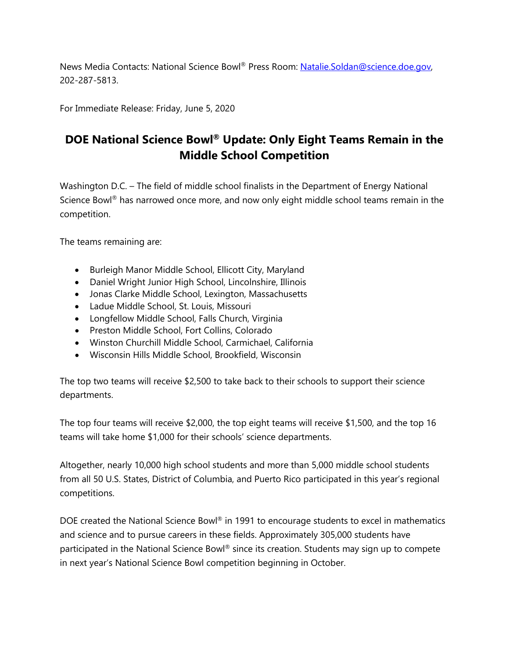News Media Contacts: National Science Bowl® Press Room: Natalie.Soldan@science.doe.gov, 202-287-5813.

For Immediate Release: Friday, June 5, 2020

## **DOE National Science Bowl® Update: Only Eight Teams Remain in the Middle School Competition**

Washington D.C. – The field of middle school finalists in the Department of Energy National Science Bowl® has narrowed once more, and now only eight middle school teams remain in the competition.

The teams remaining are:

- Burleigh Manor Middle School, Ellicott City, Maryland
- Daniel Wright Junior High School, Lincolnshire, Illinois
- Jonas Clarke Middle School, Lexington, Massachusetts
- Ladue Middle School, St. Louis, Missouri
- Longfellow Middle School, Falls Church, Virginia
- Preston Middle School, Fort Collins, Colorado
- Winston Churchill Middle School, Carmichael, California
- Wisconsin Hills Middle School, Brookfield, Wisconsin

The top two teams will receive \$2,500 to take back to their schools to support their science departments.

The top four teams will receive \$2,000, the top eight teams will receive \$1,500, and the top 16 teams will take home \$1,000 for their schools' science departments.

Altogether, nearly 10,000 high school students and more than 5,000 middle school students from all 50 U.S. States, District of Columbia, and Puerto Rico participated in this year's regional competitions.

DOE created the National Science Bowl® in 1991 to encourage students to excel in mathematics and science and to pursue careers in these fields. Approximately 305,000 students have participated in the National Science Bowl® since its creation. Students may sign up to compete in next year's National Science Bowl competition beginning in October.